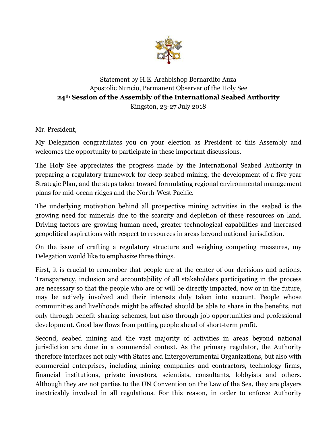

## Statement by H.E. Archbishop Bernardito Auza Apostolic Nuncio, Permanent Observer of the Holy See **24th Session of the Assembly of the International Seabed Authority**  Kingston, 23-27 July 2018

Mr. President,

My Delegation congratulates you on your election as President of this Assembly and welcomes the opportunity to participate in these important discussions.

The Holy See appreciates the progress made by the International Seabed Authority in preparing a regulatory framework for deep seabed mining, the development of a five-year Strategic Plan, and the steps taken toward formulating regional environmental management plans for mid-ocean ridges and the North-West Pacific.

The underlying motivation behind all prospective mining activities in the seabed is the growing need for minerals due to the scarcity and depletion of these resources on land. Driving factors are growing human need, greater technological capabilities and increased geopolitical aspirations with respect to resources in areas beyond national jurisdiction.

On the issue of crafting a regulatory structure and weighing competing measures, my Delegation would like to emphasize three things.

First, it is crucial to remember that people are at the center of our decisions and actions. Transparency, inclusion and accountability of all stakeholders participating in the process are necessary so that the people who are or will be directly impacted, now or in the future, may be actively involved and their interests duly taken into account. People whose communities and livelihoods might be affected should be able to share in the benefits, not only through benefit-sharing schemes, but also through job opportunities and professional development. Good law flows from putting people ahead of short-term profit.

Second, seabed mining and the vast majority of activities in areas beyond national jurisdiction are done in a commercial context. As the primary regulator, the Authority therefore interfaces not only with States and Intergovernmental Organizations, but also with commercial enterprises, including mining companies and contractors, technology firms, financial institutions, private investors, scientists, consultants, lobbyists and others. Although they are not parties to the UN Convention on the Law of the Sea, they are players inextricably involved in all regulations. For this reason, in order to enforce Authority